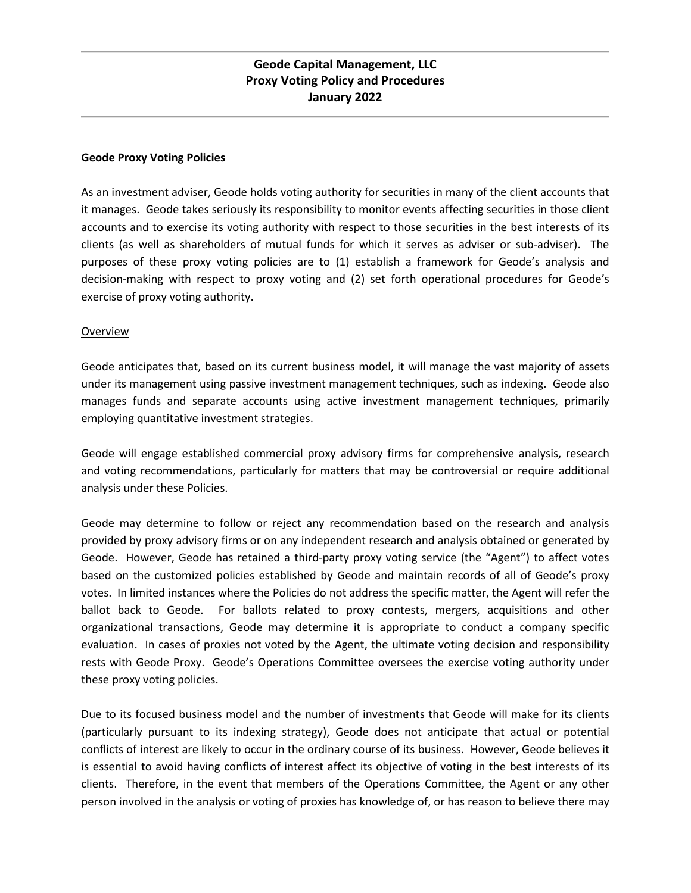#### **Geode Proxy Voting Policies**

As an investment adviser, Geode holds voting authority for securities in many of the client accounts that it manages. Geode takes seriously its responsibility to monitor events affecting securities in those client accounts and to exercise its voting authority with respect to those securities in the best interests of its clients (as well as shareholders of mutual funds for which it serves as adviser or sub-adviser). The purposes of these proxy voting policies are to (1) establish a framework for Geode's analysis and decision-making with respect to proxy voting and (2) set forth operational procedures for Geode's exercise of proxy voting authority.

#### Overview

Geode anticipates that, based on its current business model, it will manage the vast majority of assets under its management using passive investment management techniques, such as indexing. Geode also manages funds and separate accounts using active investment management techniques, primarily employing quantitative investment strategies.

Geode will engage established commercial proxy advisory firms for comprehensive analysis, research and voting recommendations, particularly for matters that may be controversial or require additional analysis under these Policies.

Geode may determine to follow or reject any recommendation based on the research and analysis provided by proxy advisory firms or on any independent research and analysis obtained or generated by Geode. However, Geode has retained a third-party proxy voting service (the "Agent") to affect votes based on the customized policies established by Geode and maintain records of all of Geode's proxy votes. In limited instances where the Policies do not address the specific matter, the Agent will refer the ballot back to Geode. For ballots related to proxy contests, mergers, acquisitions and other organizational transactions, Geode may determine it is appropriate to conduct a company specific evaluation. In cases of proxies not voted by the Agent, the ultimate voting decision and responsibility rests with Geode Proxy. Geode's Operations Committee oversees the exercise voting authority under these proxy voting policies.

Due to its focused business model and the number of investments that Geode will make for its clients (particularly pursuant to its indexing strategy), Geode does not anticipate that actual or potential conflicts of interest are likely to occur in the ordinary course of its business. However, Geode believes it is essential to avoid having conflicts of interest affect its objective of voting in the best interests of its clients. Therefore, in the event that members of the Operations Committee, the Agent or any other person involved in the analysis or voting of proxies has knowledge of, or has reason to believe there may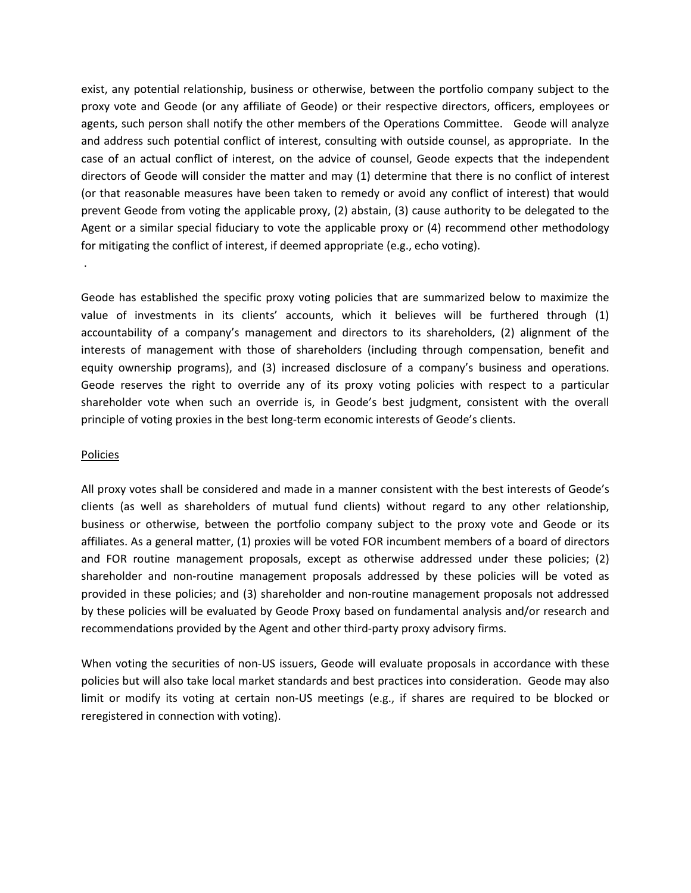exist, any potential relationship, business or otherwise, between the portfolio company subject to the proxy vote and Geode (or any affiliate of Geode) or their respective directors, officers, employees or agents, such person shall notify the other members of the Operations Committee. Geode will analyze and address such potential conflict of interest, consulting with outside counsel, as appropriate. In the case of an actual conflict of interest, on the advice of counsel, Geode expects that the independent directors of Geode will consider the matter and may (1) determine that there is no conflict of interest (or that reasonable measures have been taken to remedy or avoid any conflict of interest) that would prevent Geode from voting the applicable proxy, (2) abstain, (3) cause authority to be delegated to the Agent or a similar special fiduciary to vote the applicable proxy or (4) recommend other methodology for mitigating the conflict of interest, if deemed appropriate (e.g., echo voting).

Geode has established the specific proxy voting policies that are summarized below to maximize the value of investments in its clients' accounts, which it believes will be furthered through (1) accountability of a company's management and directors to its shareholders, (2) alignment of the interests of management with those of shareholders (including through compensation, benefit and equity ownership programs), and (3) increased disclosure of a company's business and operations. Geode reserves the right to override any of its proxy voting policies with respect to a particular shareholder vote when such an override is, in Geode's best judgment, consistent with the overall principle of voting proxies in the best long-term economic interests of Geode's clients.

#### Policies

.

All proxy votes shall be considered and made in a manner consistent with the best interests of Geode's clients (as well as shareholders of mutual fund clients) without regard to any other relationship, business or otherwise, between the portfolio company subject to the proxy vote and Geode or its affiliates. As a general matter, (1) proxies will be voted FOR incumbent members of a board of directors and FOR routine management proposals, except as otherwise addressed under these policies; (2) shareholder and non-routine management proposals addressed by these policies will be voted as provided in these policies; and (3) shareholder and non-routine management proposals not addressed by these policies will be evaluated by Geode Proxy based on fundamental analysis and/or research and recommendations provided by the Agent and other third-party proxy advisory firms.

When voting the securities of non-US issuers, Geode will evaluate proposals in accordance with these policies but will also take local market standards and best practices into consideration. Geode may also limit or modify its voting at certain non-US meetings (e.g., if shares are required to be blocked or reregistered in connection with voting).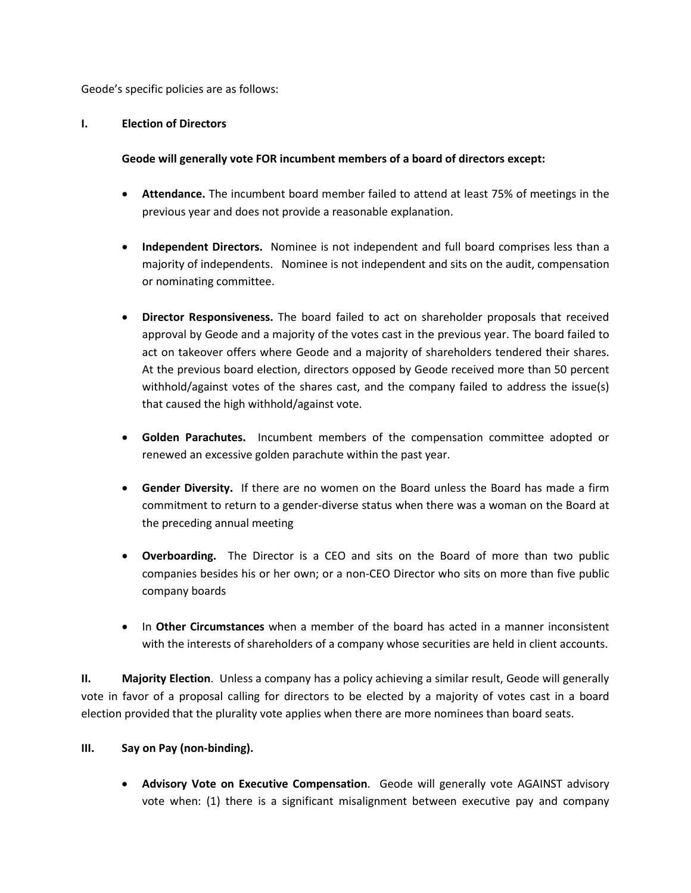Geode's specific policies are as follows:

#### **I. Election of Directors**

# **Geode will generally vote FOR incumbent members of a board of directors except:**

- **Attendance.** The incumbent board member failed to attend at least 75% of meetings in the previous year and does not provide a reasonable explanation.
- **Independent Directors.** Nominee is not independent and full board comprises less than a majority of independents. Nominee is not independent and sits on the audit, compensation or nominating committee.
- **Director Responsiveness.** The board failed to act on shareholder proposals that received approval by Geode and a majority of the votes cast in the previous year. The board failed to act on takeover offers where Geode and a majority of shareholders tendered their shares. At the previous board election, directors opposed by Geode received more than 50 percent withhold/against votes of the shares cast, and the company failed to address the issue(s) that caused the high withhold/against vote.
- **Golden Parachutes.** Incumbent members of the compensation committee adopted or renewed an excessive golden parachute within the past year.
- **Gender Diversity.** If there are no women on the Board unless the Board has made a firm commitment to return to a gender-diverse status when there was a woman on the Board at the preceding annual meeting
- **Overboarding.** The Director is a CEO and sits on the Board of more than two public companies besides his or her own; or a non-CEO Director who sits on more than five public company boards
- In **Other Circumstances** when a member of the board has acted in a manner inconsistent with the interests of shareholders of a company whose securities are held in client accounts.

**II. Majority Election**. Unless a company has a policy achieving a similar result, Geode will generally vote in favor of a proposal calling for directors to be elected by a majority of votes cast in a board election provided that the plurality vote applies when there are more nominees than board seats.

## **III. Say on Pay (non-binding).**

• **Advisory Vote on Executive Compensation**. Geode will generally vote AGAINST advisory vote when: (1) there is a significant misalignment between executive pay and company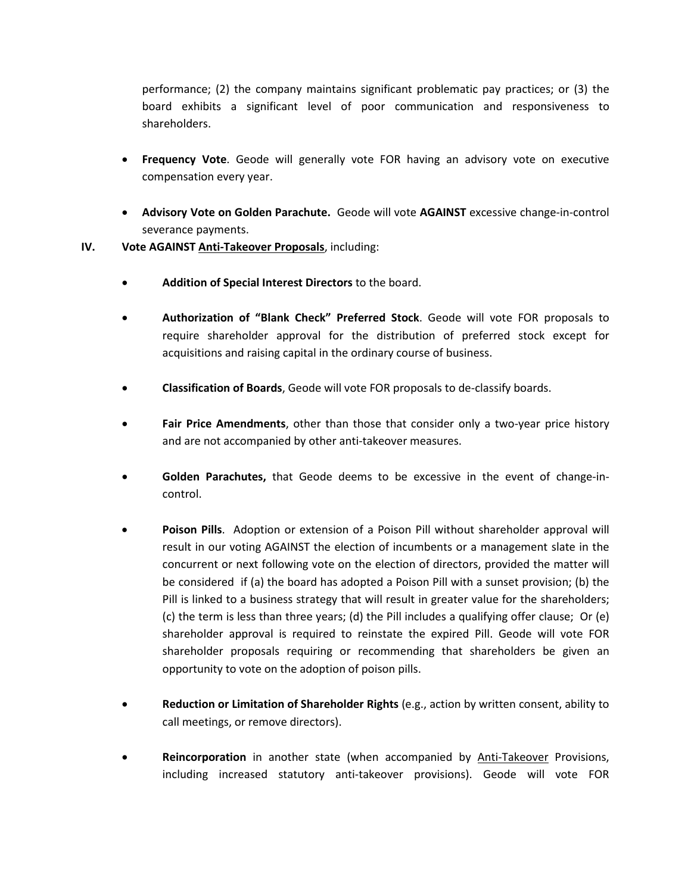performance; (2) the company maintains significant problematic pay practices; or (3) the board exhibits a significant level of poor communication and responsiveness to shareholders.

- **Frequency Vote**. Geode will generally vote FOR having an advisory vote on executive compensation every year.
- **Advisory Vote on Golden Parachute.** Geode will vote **AGAINST** excessive change-in-control severance payments.
- **IV. Vote AGAINST Anti-Takeover Proposals**, including:
	- **Addition of Special Interest Directors** to the board.
	- **Authorization of "Blank Check" Preferred Stock**. Geode will vote FOR proposals to require shareholder approval for the distribution of preferred stock except for acquisitions and raising capital in the ordinary course of business.
	- **Classification of Boards**, Geode will vote FOR proposals to de-classify boards.
	- **Fair Price Amendments**, other than those that consider only a two-year price history and are not accompanied by other anti-takeover measures.
	- **Golden Parachutes,** that Geode deems to be excessive in the event of change-incontrol.
	- **Poison Pills**. Adoption or extension of a Poison Pill without shareholder approval will result in our voting AGAINST the election of incumbents or a management slate in the concurrent or next following vote on the election of directors, provided the matter will be considered if (a) the board has adopted a Poison Pill with a sunset provision; (b) the Pill is linked to a business strategy that will result in greater value for the shareholders; (c) the term is less than three years; (d) the Pill includes a qualifying offer clause; Or (e) shareholder approval is required to reinstate the expired Pill. Geode will vote FOR shareholder proposals requiring or recommending that shareholders be given an opportunity to vote on the adoption of poison pills.
	- **Reduction or Limitation of Shareholder Rights** (e.g., action by written consent, ability to call meetings, or remove directors).
	- Reincorporation in another state (when accompanied by **Anti-Takeover Provisions**, including increased statutory anti-takeover provisions). Geode will vote FOR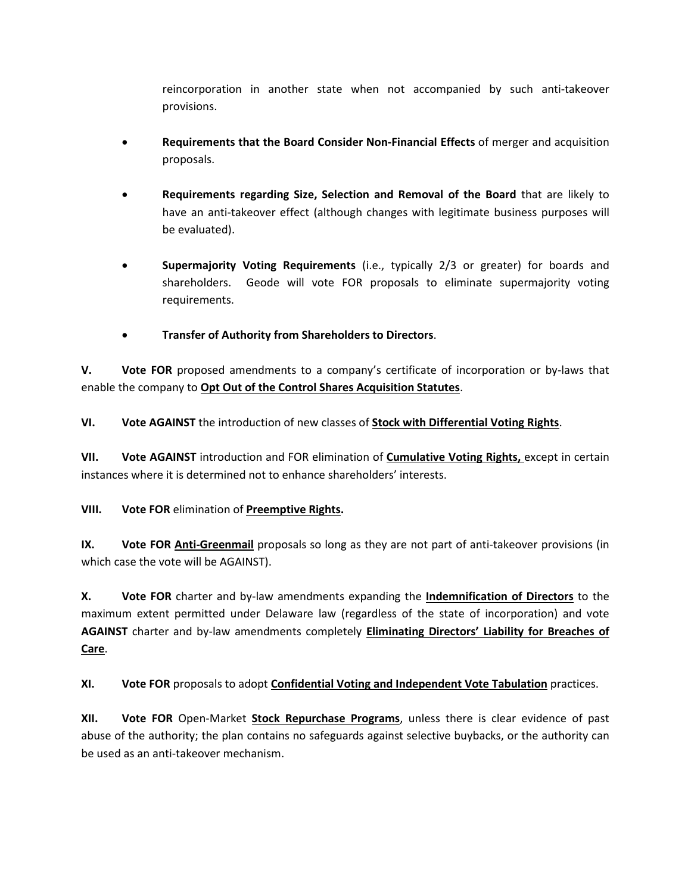reincorporation in another state when not accompanied by such anti-takeover provisions.

- **Requirements that the Board Consider Non-Financial Effects** of merger and acquisition proposals.
- **Requirements regarding Size, Selection and Removal of the Board** that are likely to have an anti-takeover effect (although changes with legitimate business purposes will be evaluated).
- **Supermajority Voting Requirements** (i.e., typically 2/3 or greater) for boards and shareholders. Geode will vote FOR proposals to eliminate supermajority voting requirements.
- **Transfer of Authority from Shareholders to Directors**.

**V. Vote FOR** proposed amendments to a company's certificate of incorporation or by-laws that enable the company to **Opt Out of the Control Shares Acquisition Statutes**.

**VI. Vote AGAINST** the introduction of new classes of **Stock with Differential Voting Rights**.

**VII. Vote AGAINST** introduction and FOR elimination of **Cumulative Voting Rights,** except in certain instances where it is determined not to enhance shareholders' interests.

# **VIII. Vote FOR** elimination of **Preemptive Rights.**

**IX. Vote FOR Anti-Greenmail** proposals so long as they are not part of anti-takeover provisions (in which case the vote will be AGAINST).

**X. Vote FOR** charter and by-law amendments expanding the **Indemnification of Directors** to the maximum extent permitted under Delaware law (regardless of the state of incorporation) and vote **AGAINST** charter and by-law amendments completely **Eliminating Directors' Liability for Breaches of Care**.

**XI. Vote FOR** proposals to adopt **Confidential Voting and Independent Vote Tabulation** practices.

**XII. Vote FOR** Open-Market **Stock Repurchase Programs**, unless there is clear evidence of past abuse of the authority; the plan contains no safeguards against selective buybacks, or the authority can be used as an anti-takeover mechanism.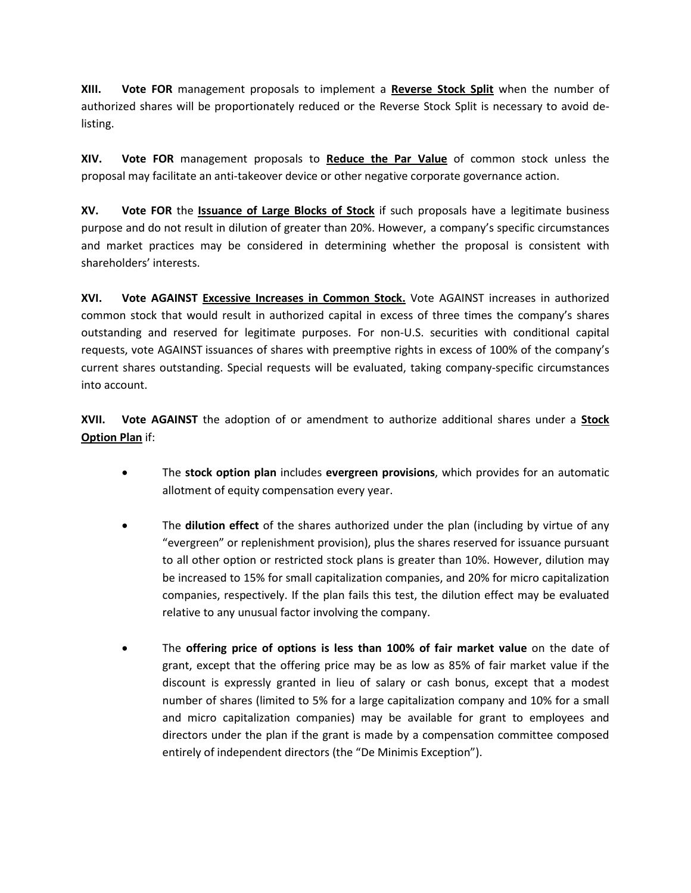**XIII. Vote FOR** management proposals to implement a **Reverse Stock Split** when the number of authorized shares will be proportionately reduced or the Reverse Stock Split is necessary to avoid delisting.

**XIV. Vote FOR** management proposals to **Reduce the Par Value** of common stock unless the proposal may facilitate an anti-takeover device or other negative corporate governance action.

**XV. Vote FOR** the **Issuance of Large Blocks of Stock** if such proposals have a legitimate business purpose and do not result in dilution of greater than 20%. However, a company's specific circumstances and market practices may be considered in determining whether the proposal is consistent with shareholders' interests.

**XVI. Vote AGAINST Excessive Increases in Common Stock.** Vote AGAINST increases in authorized common stock that would result in authorized capital in excess of three times the company's shares outstanding and reserved for legitimate purposes. For non-U.S. securities with conditional capital requests, vote AGAINST issuances of shares with preemptive rights in excess of 100% of the company's current shares outstanding. Special requests will be evaluated, taking company-specific circumstances into account.

**XVII. Vote AGAINST** the adoption of or amendment to authorize additional shares under a **Stock Option Plan** if:

- The **stock option plan** includes **evergreen provisions**, which provides for an automatic allotment of equity compensation every year.
- The **dilution effect** of the shares authorized under the plan (including by virtue of any "evergreen" or replenishment provision), plus the shares reserved for issuance pursuant to all other option or restricted stock plans is greater than 10%. However, dilution may be increased to 15% for small capitalization companies, and 20% for micro capitalization companies, respectively. If the plan fails this test, the dilution effect may be evaluated relative to any unusual factor involving the company.
- The **offering price of options is less than 100% of fair market value** on the date of grant, except that the offering price may be as low as 85% of fair market value if the discount is expressly granted in lieu of salary or cash bonus, except that a modest number of shares (limited to 5% for a large capitalization company and 10% for a small and micro capitalization companies) may be available for grant to employees and directors under the plan if the grant is made by a compensation committee composed entirely of independent directors (the "De Minimis Exception").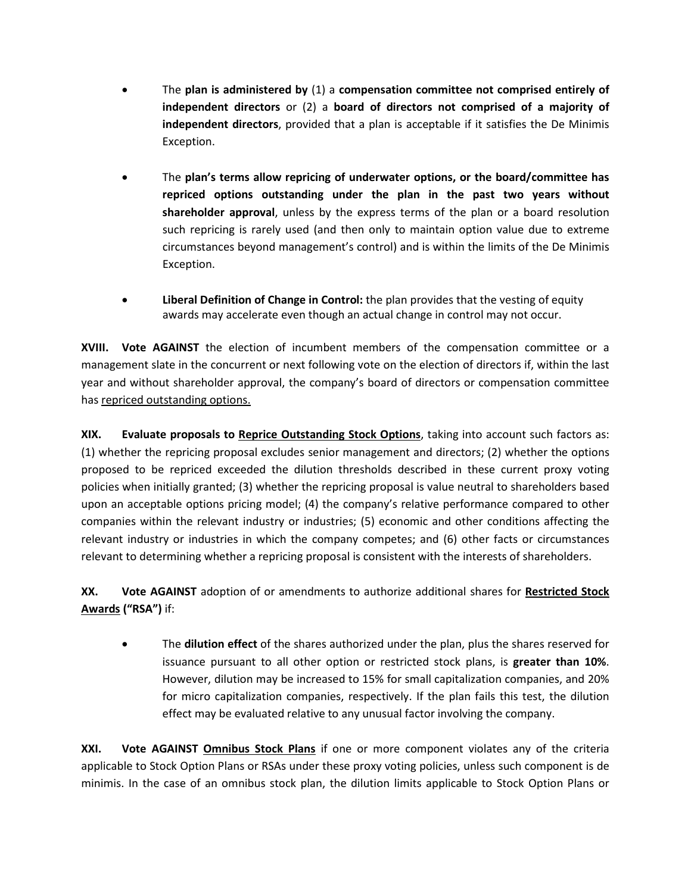- The **plan is administered by** (1) a **compensation committee not comprised entirely of independent directors** or (2) a **board of directors not comprised of a majority of independent directors**, provided that a plan is acceptable if it satisfies the De Minimis Exception.
- The **plan's terms allow repricing of underwater options, or the board/committee has repriced options outstanding under the plan in the past two years without shareholder approval**, unless by the express terms of the plan or a board resolution such repricing is rarely used (and then only to maintain option value due to extreme circumstances beyond management's control) and is within the limits of the De Minimis Exception.
- **Liberal Definition of Change in Control:** the plan provides that the vesting of equity awards may accelerate even though an actual change in control may not occur.

**XVIII. Vote AGAINST** the election of incumbent members of the compensation committee or a management slate in the concurrent or next following vote on the election of directors if, within the last year and without shareholder approval, the company's board of directors or compensation committee has repriced outstanding options.

**XIX. Evaluate proposals to Reprice Outstanding Stock Options**, taking into account such factors as: (1) whether the repricing proposal excludes senior management and directors; (2) whether the options proposed to be repriced exceeded the dilution thresholds described in these current proxy voting policies when initially granted; (3) whether the repricing proposal is value neutral to shareholders based upon an acceptable options pricing model; (4) the company's relative performance compared to other companies within the relevant industry or industries; (5) economic and other conditions affecting the relevant industry or industries in which the company competes; and (6) other facts or circumstances relevant to determining whether a repricing proposal is consistent with the interests of shareholders.

**XX. Vote AGAINST** adoption of or amendments to authorize additional shares for **Restricted Stock Awards ("RSA")** if:

• The **dilution effect** of the shares authorized under the plan, plus the shares reserved for issuance pursuant to all other option or restricted stock plans, is **greater than 10%**. However, dilution may be increased to 15% for small capitalization companies, and 20% for micro capitalization companies, respectively. If the plan fails this test, the dilution effect may be evaluated relative to any unusual factor involving the company.

**XXI. Vote AGAINST Omnibus Stock Plans** if one or more component violates any of the criteria applicable to Stock Option Plans or RSAs under these proxy voting policies, unless such component is de minimis. In the case of an omnibus stock plan, the dilution limits applicable to Stock Option Plans or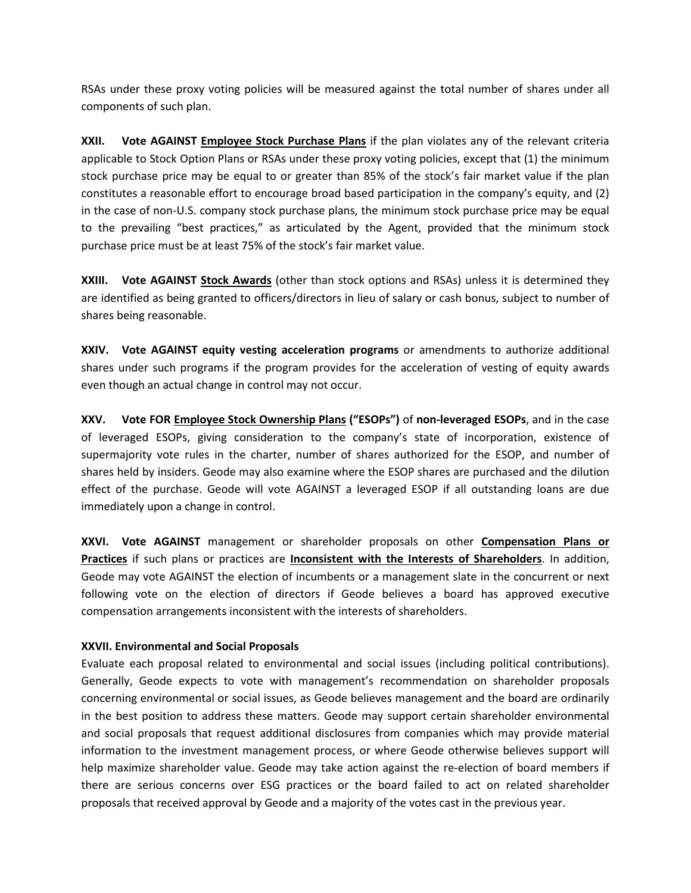RSAs under these proxy voting policies will be measured against the total number of shares under all components of such plan.

**XXII. Vote AGAINST Employee Stock Purchase Plans** if the plan violates any of the relevant criteria applicable to Stock Option Plans or RSAs under these proxy voting policies, except that (1) the minimum stock purchase price may be equal to or greater than 85% of the stock's fair market value if the plan constitutes a reasonable effort to encourage broad based participation in the company's equity, and (2) in the case of non-U.S. company stock purchase plans, the minimum stock purchase price may be equal to the prevailing "best practices," as articulated by the Agent, provided that the minimum stock purchase price must be at least 75% of the stock's fair market value.

**XXIII. Vote AGAINST Stock Awards** (other than stock options and RSAs) unless it is determined they are identified as being granted to officers/directors in lieu of salary or cash bonus, subject to number of shares being reasonable.

**XXIV. Vote AGAINST equity vesting acceleration programs** or amendments to authorize additional shares under such programs if the program provides for the acceleration of vesting of equity awards even though an actual change in control may not occur.

**XXV. Vote FOR Employee Stock Ownership Plans ("ESOPs")** of **non-leveraged ESOPs**, and in the case of leveraged ESOPs, giving consideration to the company's state of incorporation, existence of supermajority vote rules in the charter, number of shares authorized for the ESOP, and number of shares held by insiders. Geode may also examine where the ESOP shares are purchased and the dilution effect of the purchase. Geode will vote AGAINST a leveraged ESOP if all outstanding loans are due immediately upon a change in control.

**XXVI. Vote AGAINST** management or shareholder proposals on other **Compensation Plans or Practices** if such plans or practices are **Inconsistent with the Interests of Shareholders**. In addition, Geode may vote AGAINST the election of incumbents or a management slate in the concurrent or next following vote on the election of directors if Geode believes a board has approved executive compensation arrangements inconsistent with the interests of shareholders.

## **XXVII. Environmental and Social Proposals**

Evaluate each proposal related to environmental and social issues (including political contributions). Generally, Geode expects to vote with management's recommendation on shareholder proposals concerning environmental or social issues, as Geode believes management and the board are ordinarily in the best position to address these matters. Geode may support certain shareholder environmental and social proposals that request additional disclosures from companies which may provide material information to the investment management process, or where Geode otherwise believes support will help maximize shareholder value. Geode may take action against the re-election of board members if there are serious concerns over ESG practices or the board failed to act on related shareholder proposals that received approval by Geode and a majority of the votes cast in the previous year.